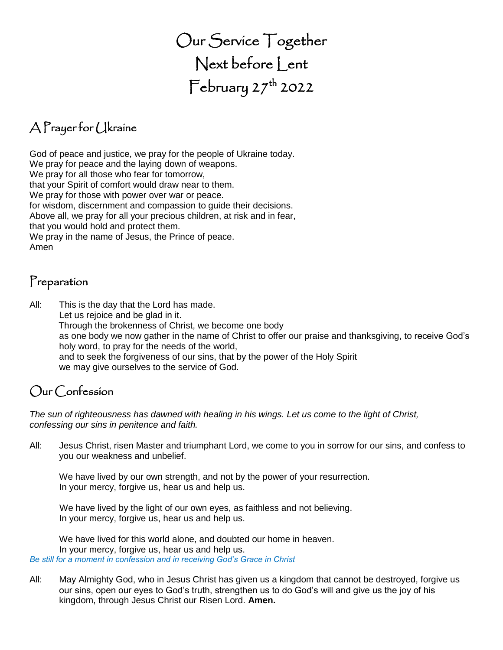# Our Service Together Next before Lent  $\mathsf{February\,27}^\mathsf{th}$  2022

# A Prayer for Ukraine

God of peace and justice, we pray for the people of Ukraine today. We pray for peace and the laying down of weapons. We pray for all those who fear for tomorrow, that your Spirit of comfort would draw near to them. We pray for those with power over war or peace. for wisdom, discernment and compassion to guide their decisions. Above all, we pray for all your precious children, at risk and in fear, that you would hold and protect them. We pray in the name of Jesus, the Prince of peace. Amen

#### Preparation

All: This is the day that the Lord has made. Let us rejoice and be glad in it. Through the brokenness of Christ, we become one body as one body we now gather in the name of Christ to offer our praise and thanksgiving, to receive God's holy word, to pray for the needs of the world, and to seek the forgiveness of our sins, that by the power of the Holy Spirit we may give ourselves to the service of God.

# Our Confession

*The sun of righteousness has dawned with healing in his wings. Let us come to the light of Christ, confessing our sins in penitence and faith.*

All: Jesus Christ, risen Master and triumphant Lord, we come to you in sorrow for our sins, and confess to you our weakness and unbelief.

We have lived by our own strength, and not by the power of your resurrection. In your mercy, forgive us, hear us and help us.

We have lived by the light of our own eyes, as faithless and not believing. In your mercy, forgive us, hear us and help us.

We have lived for this world alone, and doubted our home in heaven. In your mercy, forgive us, hear us and help us. *Be still for a moment in confession and in receiving God's Grace in Christ*

All: May Almighty God, who in Jesus Christ has given us a kingdom that cannot be destroyed, forgive us our sins, open our eyes to God's truth, strengthen us to do God's will and give us the joy of his kingdom, through Jesus Christ our Risen Lord. **Amen.**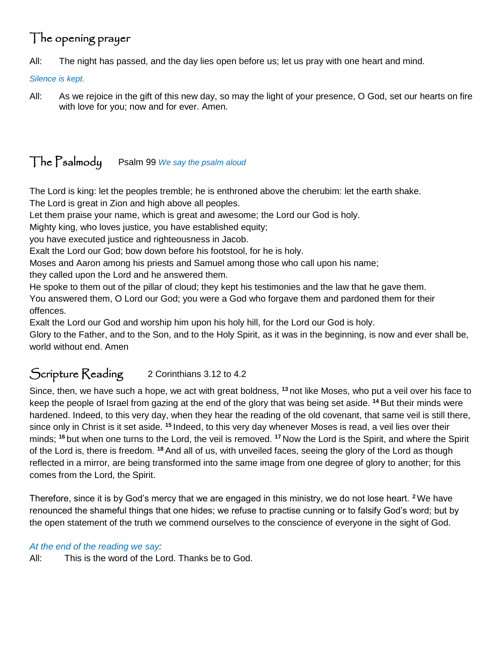# The opening prayer

All: The night has passed, and the day lies open before us; let us pray with one heart and mind.

*Silence is kept.*

All: As we rejoice in the gift of this new day, so may the light of your presence, O God, set our hearts on fire with love for you; now and for ever. Amen.

### The Psalmody Psalm 99 *We say the psalm aloud*

The Lord is king: let the peoples tremble; he is enthroned above the cherubim: let the earth shake. The Lord is great in Zion and high above all peoples.

Let them praise your name, which is great and awesome; the Lord our God is holy.

Mighty king, who loves justice, you have established equity;

you have executed justice and righteousness in Jacob.

Exalt the Lord our God; bow down before his footstool, for he is holy.

Moses and Aaron among his priests and Samuel among those who call upon his name;

they called upon the Lord and he answered them.

He spoke to them out of the pillar of cloud; they kept his testimonies and the law that he gave them. You answered them, O Lord our God; you were a God who forgave them and pardoned them for their offences.

Exalt the Lord our God and worship him upon his holy hill, for the Lord our God is holy.

Glory to the Father, and to the Son, and to the Holy Spirit, as it was in the beginning, is now and ever shall be, world without end. Amen

#### Scripture Reading 2 Corinthians 3.12 to 4.2

Since, then, we have such a hope, we act with great boldness, **<sup>13</sup>** not like Moses, who put a veil over his face to keep the people of Israel from gazing at the end of the glory that was being set aside. **<sup>14</sup>** But their minds were hardened. Indeed, to this very day, when they hear the reading of the old covenant, that same veil is still there, since only in Christ is it set aside. **<sup>15</sup>** Indeed, to this very day whenever Moses is read, a veil lies over their minds; **<sup>16</sup>** but when one turns to the Lord, the veil is removed. **<sup>17</sup>** Now the Lord is the Spirit, and where the Spirit of the Lord is, there is freedom. **<sup>18</sup>** And all of us, with unveiled faces, seeing the glory of the Lord as though reflected in a mirror, are being transformed into the same image from one degree of glory to another; for this comes from the Lord, the Spirit.

Therefore, since it is by God's mercy that we are engaged in this ministry, we do not lose heart. **<sup>2</sup>**We have renounced the shameful things that one hides; we refuse to practise cunning or to falsify God's word; but by the open statement of the truth we commend ourselves to the conscience of everyone in the sight of God.

#### *At the end of the reading we say:*

All: This is the word of the Lord. Thanks be to God.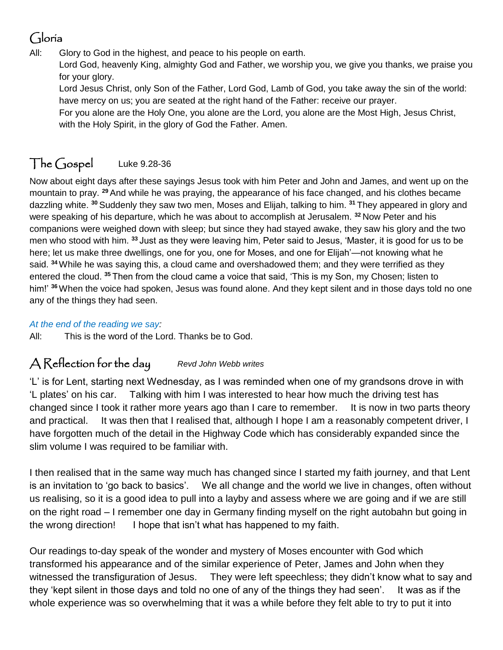## Gloria

All: Glory to God in the highest, and peace to his people on earth.

Lord God, heavenly King, almighty God and Father, we worship you, we give you thanks, we praise you for your glory.

Lord Jesus Christ, only Son of the Father, Lord God, Lamb of God, you take away the sin of the world: have mercy on us; you are seated at the right hand of the Father: receive our prayer.

For you alone are the Holy One, you alone are the Lord, you alone are the Most High, Jesus Christ, with the Holy Spirit, in the glory of God the Father. Amen.

# The Gospel Luke 9.28-36

Now about eight days after these sayings Jesus took with him Peter and John and James, and went up on the mountain to pray. **<sup>29</sup>** And while he was praying, the appearance of his face changed, and his clothes became dazzling white. **<sup>30</sup>** Suddenly they saw two men, Moses and Elijah, talking to him. **<sup>31</sup>** They appeared in glory and were speaking of his departure, which he was about to accomplish at Jerusalem. **<sup>32</sup>** Now Peter and his companions were weighed down with sleep; but since they had stayed awake, they saw his glory and the two men who stood with him. **<sup>33</sup>** Just as they were leaving him, Peter said to Jesus, 'Master, it is good for us to be here; let us make three dwellings, one for you, one for Moses, and one for Elijah'—not knowing what he said. **<sup>34</sup>**While he was saying this, a cloud came and overshadowed them; and they were terrified as they entered the cloud. **<sup>35</sup>** Then from the cloud came a voice that said, 'This is my Son, my Chosen; listen to him!' **<sup>36</sup>**When the voice had spoken, Jesus was found alone. And they kept silent and in those days told no one any of the things they had seen.

#### *At the end of the reading we say:*

All: This is the word of the Lord. Thanks be to God.

#### A Reflection for the day *Revd John Webb writes*

'L' is for Lent, starting next Wednesday, as I was reminded when one of my grandsons drove in with 'L plates' on his car. Talking with him I was interested to hear how much the driving test has changed since I took it rather more years ago than I care to remember. It is now in two parts theory and practical. It was then that I realised that, although I hope I am a reasonably competent driver, I have forgotten much of the detail in the Highway Code which has considerably expanded since the slim volume I was required to be familiar with.

I then realised that in the same way much has changed since I started my faith journey, and that Lent is an invitation to 'go back to basics'. We all change and the world we live in changes, often without us realising, so it is a good idea to pull into a layby and assess where we are going and if we are still on the right road – I remember one day in Germany finding myself on the right autobahn but going in the wrong direction! I hope that isn't what has happened to my faith.

Our readings to-day speak of the wonder and mystery of Moses encounter with God which transformed his appearance and of the similar experience of Peter, James and John when they witnessed the transfiguration of Jesus. They were left speechless; they didn't know what to say and they 'kept silent in those days and told no one of any of the things they had seen'. It was as if the whole experience was so overwhelming that it was a while before they felt able to try to put it into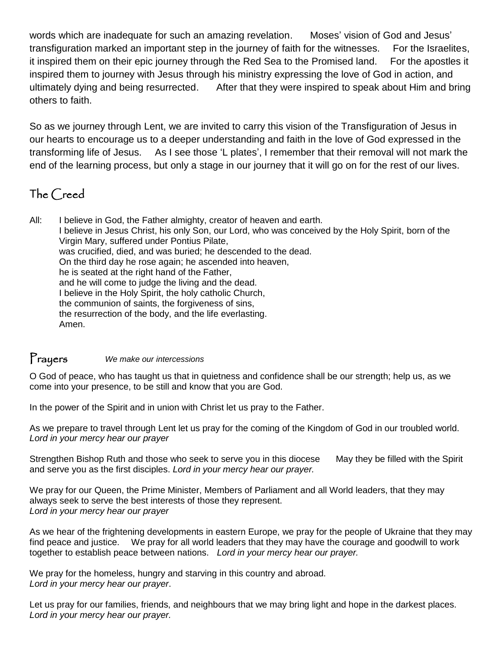words which are inadequate for such an amazing revelation. Moses' vision of God and Jesus' transfiguration marked an important step in the journey of faith for the witnesses. For the Israelites, it inspired them on their epic journey through the Red Sea to the Promised land. For the apostles it inspired them to journey with Jesus through his ministry expressing the love of God in action, and ultimately dying and being resurrected. After that they were inspired to speak about Him and bring others to faith.

So as we journey through Lent, we are invited to carry this vision of the Transfiguration of Jesus in our hearts to encourage us to a deeper understanding and faith in the love of God expressed in the transforming life of Jesus. As I see those 'L plates', I remember that their removal will not mark the end of the learning process, but only a stage in our journey that it will go on for the rest of our lives.

### The Creed

All: I believe in God, the Father almighty, creator of heaven and earth. I believe in Jesus Christ, his only Son, our Lord, who was conceived by the Holy Spirit, born of the Virgin Mary, suffered under Pontius Pilate, was crucified, died, and was buried; he descended to the dead. On the third day he rose again; he ascended into heaven, he is seated at the right hand of the Father, and he will come to judge the living and the dead. I believe in the Holy Spirit, the holy catholic Church, the communion of saints, the forgiveness of sins, the resurrection of the body, and the life everlasting. Amen.

#### Prayers *We make our intercessions*

O God of peace, who has taught us that in quietness and confidence shall be our strength; help us, as we come into your presence, to be still and know that you are God.

In the power of the Spirit and in union with Christ let us pray to the Father.

As we prepare to travel through Lent let us pray for the coming of the Kingdom of God in our troubled world. *Lord in your mercy hear our prayer*

Strengthen Bishop Ruth and those who seek to serve you in this diocese May they be filled with the Spirit and serve you as the first disciples. *Lord in your mercy hear our prayer.*

We pray for our Queen, the Prime Minister, Members of Parliament and all World leaders, that they may always seek to serve the best interests of those they represent. *Lord in your mercy hear our prayer*

As we hear of the frightening developments in eastern Europe, we pray for the people of Ukraine that they may find peace and justice. We pray for all world leaders that they may have the courage and goodwill to work together to establish peace between nations. *Lord in your mercy hear our prayer.*

We pray for the homeless, hungry and starving in this country and abroad. *Lord in your mercy hear our prayer*.

Let us pray for our families, friends, and neighbours that we may bring light and hope in the darkest places. *Lord in your mercy hear our prayer.*